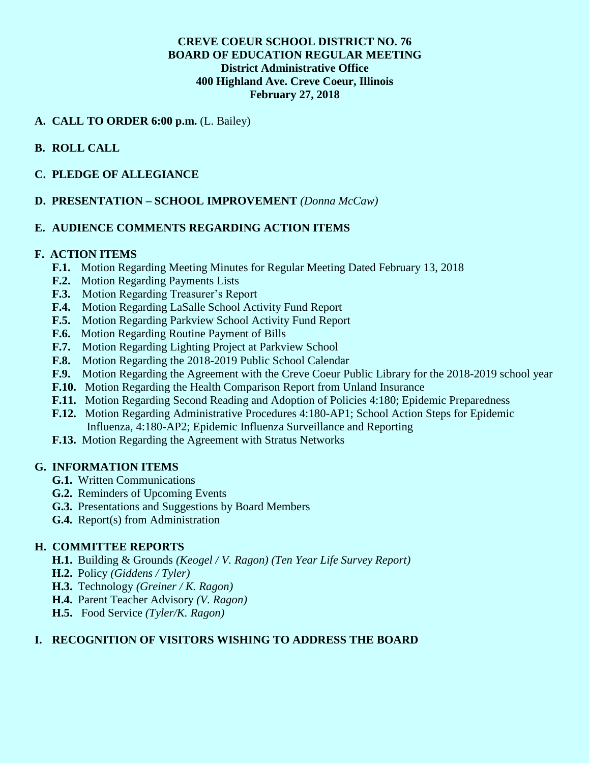# **CREVE COEUR SCHOOL DISTRICT NO. 76 BOARD OF EDUCATION REGULAR MEETING District Administrative Office 400 Highland Ave. Creve Coeur, Illinois February 27, 2018**

## **A. CALL TO ORDER 6:00 p.m.** (L. Bailey)

# **B. ROLL CALL**

## **C. PLEDGE OF ALLEGIANCE**

## **D. PRESENTATION – SCHOOL IMPROVEMENT** *(Donna McCaw)*

## **E. AUDIENCE COMMENTS REGARDING ACTION ITEMS**

#### **F. ACTION ITEMS**

- **F.1.** Motion Regarding Meeting Minutes for Regular Meeting Dated February 13, 2018
- **F.2.** Motion Regarding Payments Lists
- **F.3.** Motion Regarding Treasurer's Report
- **F.4.** Motion Regarding LaSalle School Activity Fund Report
- **F.5.** Motion Regarding Parkview School Activity Fund Report
- **F.6.** Motion Regarding Routine Payment of Bills
- **F.7.** Motion Regarding Lighting Project at Parkview School
- **F.8.** Motion Regarding the 2018-2019 Public School Calendar
- **F.9.** Motion Regarding the Agreement with the Creve Coeur Public Library for the 2018-2019 school year
- **F.10.** Motion Regarding the Health Comparison Report from Unland Insurance
- **F.11.** Motion Regarding Second Reading and Adoption of Policies 4:180; Epidemic Preparedness
- **F.12.** Motion Regarding Administrative Procedures 4:180-AP1; School Action Steps for Epidemic Influenza, 4:180-AP2; Epidemic Influenza Surveillance and Reporting
- **F.13.** Motion Regarding the Agreement with Stratus Networks

#### **G. INFORMATION ITEMS**

- **G.1.** Written Communications
- **G.2.** Reminders of Upcoming Events
- **G.3.** Presentations and Suggestions by Board Members
- **G.4.** Report(s) from Administration

#### **H. COMMITTEE REPORTS**

- **H.1.** Building & Grounds *(Keogel / V. Ragon) (Ten Year Life Survey Report)*
- **H.2.** Policy *(Giddens / Tyler)*
- **H.3.** Technology *(Greiner / K. Ragon)*
- **H.4.** Parent Teacher Advisory *(V. Ragon)*
- **H.5.** Food Service *(Tyler/K. Ragon)*

#### **I. RECOGNITION OF VISITORS WISHING TO ADDRESS THE BOARD**